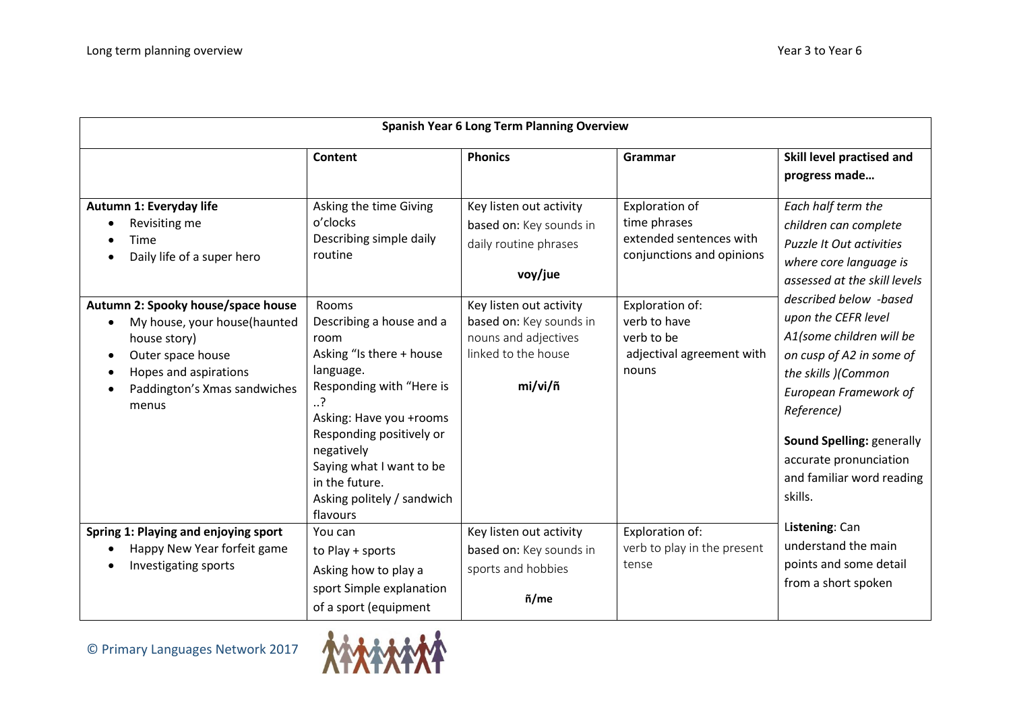| <b>Spanish Year 6 Long Term Planning Overview</b>                                                                                                                         |                                                                                                                                                                                                                                                                                         |                                                                                                              |                                                                                               |                                                                                                                                                                                                                                                                                                                                                                                                                                                                                                                 |  |  |
|---------------------------------------------------------------------------------------------------------------------------------------------------------------------------|-----------------------------------------------------------------------------------------------------------------------------------------------------------------------------------------------------------------------------------------------------------------------------------------|--------------------------------------------------------------------------------------------------------------|-----------------------------------------------------------------------------------------------|-----------------------------------------------------------------------------------------------------------------------------------------------------------------------------------------------------------------------------------------------------------------------------------------------------------------------------------------------------------------------------------------------------------------------------------------------------------------------------------------------------------------|--|--|
|                                                                                                                                                                           | Content                                                                                                                                                                                                                                                                                 | <b>Phonics</b>                                                                                               | Grammar                                                                                       | Skill level practised and<br>progress made                                                                                                                                                                                                                                                                                                                                                                                                                                                                      |  |  |
| Autumn 1: Everyday life<br>Revisiting me<br>Time<br>Daily life of a super hero                                                                                            | Asking the time Giving<br>o'clocks<br>Describing simple daily<br>routine                                                                                                                                                                                                                | Key listen out activity<br>based on: Key sounds in<br>daily routine phrases<br>voy/jue                       | <b>Exploration of</b><br>time phrases<br>extended sentences with<br>conjunctions and opinions | Each half term the<br>children can complete<br><b>Puzzle It Out activities</b><br>where core language is<br>assessed at the skill levels<br>described below -based<br>upon the CEFR level<br>A1(some children will be<br>on cusp of A2 in some of<br>the skills )(Common<br><b>European Framework of</b><br>Reference)<br>Sound Spelling: generally<br>accurate pronunciation<br>and familiar word reading<br>skills.<br>Listening: Can<br>understand the main<br>points and some detail<br>from a short spoken |  |  |
| Autumn 2: Spooky house/space house<br>My house, your house(haunted<br>house story)<br>Outer space house<br>Hopes and aspirations<br>Paddington's Xmas sandwiches<br>menus | <b>Rooms</b><br>Describing a house and a<br>room<br>Asking "Is there + house<br>language.<br>Responding with "Here is<br>?<br>Asking: Have you +rooms<br>Responding positively or<br>negatively<br>Saying what I want to be<br>in the future.<br>Asking politely / sandwich<br>flavours | Key listen out activity<br>based on: Key sounds in<br>nouns and adjectives<br>linked to the house<br>mi/vi/ñ | Exploration of:<br>verb to have<br>verb to be<br>adjectival agreement with<br>nouns           |                                                                                                                                                                                                                                                                                                                                                                                                                                                                                                                 |  |  |
| Spring 1: Playing and enjoying sport<br>Happy New Year forfeit game<br>Investigating sports                                                                               | You can<br>to Play + sports<br>Asking how to play a<br>sport Simple explanation<br>of a sport (equipment                                                                                                                                                                                | Key listen out activity<br>based on: Key sounds in<br>sports and hobbies<br>ñ/me                             | Exploration of:<br>verb to play in the present<br>tense                                       |                                                                                                                                                                                                                                                                                                                                                                                                                                                                                                                 |  |  |

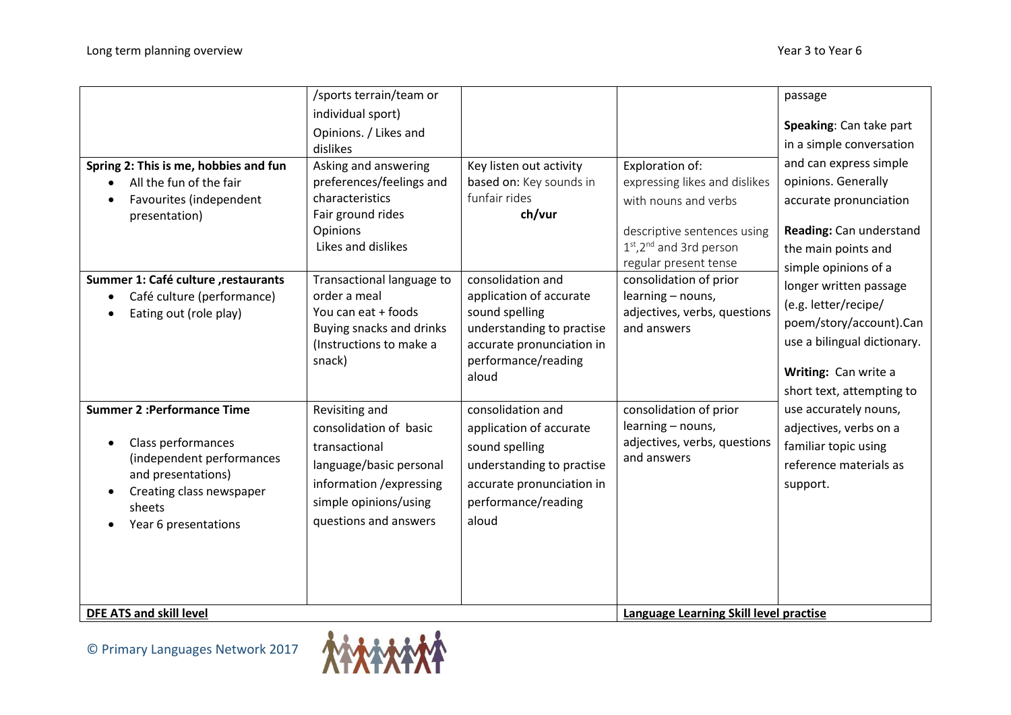|                                                                                                                                                                          | /sports terrain/team or                                                                                                                                            |                                                                                                                                                          |                                                                                                                                                                         | passage                                                                                                                                                                                                                                                                                                                                                                                                                             |
|--------------------------------------------------------------------------------------------------------------------------------------------------------------------------|--------------------------------------------------------------------------------------------------------------------------------------------------------------------|----------------------------------------------------------------------------------------------------------------------------------------------------------|-------------------------------------------------------------------------------------------------------------------------------------------------------------------------|-------------------------------------------------------------------------------------------------------------------------------------------------------------------------------------------------------------------------------------------------------------------------------------------------------------------------------------------------------------------------------------------------------------------------------------|
|                                                                                                                                                                          | individual sport)                                                                                                                                                  |                                                                                                                                                          |                                                                                                                                                                         | Speaking: Can take part                                                                                                                                                                                                                                                                                                                                                                                                             |
|                                                                                                                                                                          | Opinions. / Likes and<br>dislikes                                                                                                                                  |                                                                                                                                                          |                                                                                                                                                                         | in a simple conversation                                                                                                                                                                                                                                                                                                                                                                                                            |
| Spring 2: This is me, hobbies and fun<br>All the fun of the fair<br>$\bullet$<br>Favourites (independent<br>presentation)                                                | Asking and answering<br>preferences/feelings and<br>characteristics<br>Fair ground rides<br>Opinions<br>Likes and dislikes                                         | Key listen out activity<br>based on: Key sounds in<br>funfair rides<br>ch/vur                                                                            | Exploration of:<br>expressing likes and dislikes<br>with nouns and verbs<br>descriptive sentences using<br>1st, 2 <sup>nd</sup> and 3rd person<br>regular present tense | and can express simple<br>opinions. Generally<br>accurate pronunciation<br>Reading: Can understand<br>the main points and<br>simple opinions of a<br>longer written passage<br>(e.g. letter/recipe/<br>poem/story/account).Can<br>use a bilingual dictionary.<br>Writing: Can write a<br>short text, attempting to<br>use accurately nouns,<br>adjectives, verbs on a<br>familiar topic using<br>reference materials as<br>support. |
| Summer 1: Café culture , restaurants<br>Café culture (performance)<br>Eating out (role play)                                                                             | Transactional language to<br>order a meal<br>You can eat + foods<br>Buying snacks and drinks<br>(Instructions to make a<br>snack)                                  | consolidation and<br>application of accurate<br>sound spelling<br>understanding to practise<br>accurate pronunciation in<br>performance/reading<br>aloud | consolidation of prior<br>learning - nouns,<br>adjectives, verbs, questions<br>and answers                                                                              |                                                                                                                                                                                                                                                                                                                                                                                                                                     |
| <b>Summer 2: Performance Time</b><br>Class performances<br>(independent performances<br>and presentations)<br>Creating class newspaper<br>sheets<br>Year 6 presentations | Revisiting and<br>consolidation of basic<br>transactional<br>language/basic personal<br>information / expressing<br>simple opinions/using<br>questions and answers | consolidation and<br>application of accurate<br>sound spelling<br>understanding to practise<br>accurate pronunciation in<br>performance/reading<br>aloud | consolidation of prior<br>learning - nouns,<br>adjectives, verbs, questions<br>and answers                                                                              |                                                                                                                                                                                                                                                                                                                                                                                                                                     |
| <b>DFE ATS and skill level</b>                                                                                                                                           |                                                                                                                                                                    |                                                                                                                                                          | Language Learning Skill level practise                                                                                                                                  |                                                                                                                                                                                                                                                                                                                                                                                                                                     |

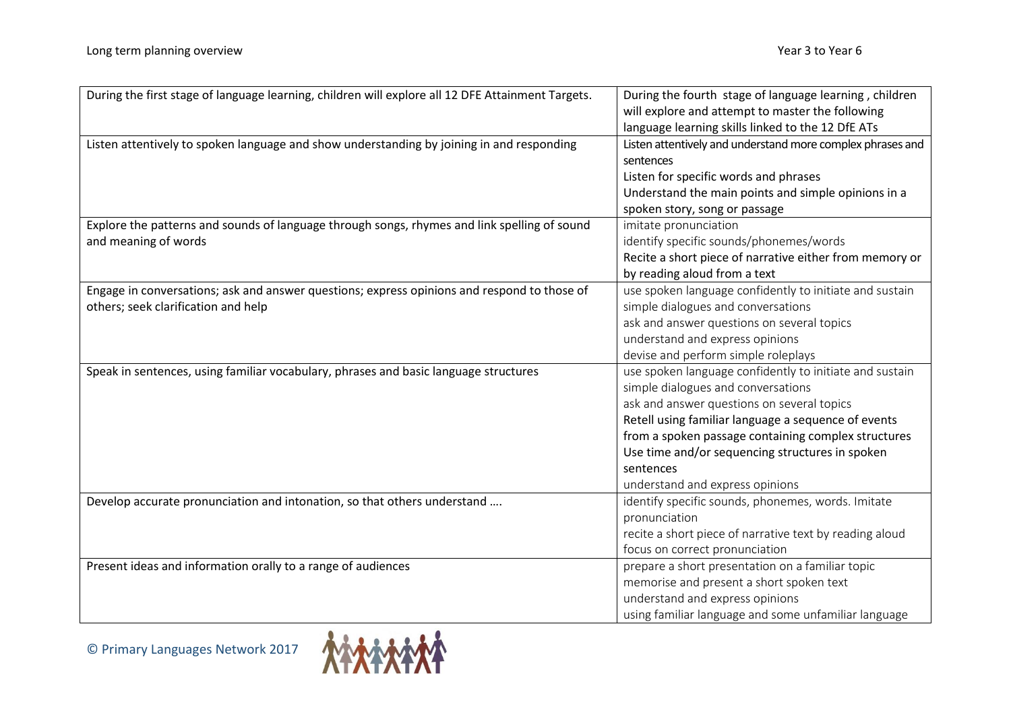| During the first stage of language learning, children will explore all 12 DFE Attainment Targets. | During the fourth stage of language learning, children     |  |
|---------------------------------------------------------------------------------------------------|------------------------------------------------------------|--|
|                                                                                                   | will explore and attempt to master the following           |  |
|                                                                                                   | language learning skills linked to the 12 DfE ATs          |  |
| Listen attentively to spoken language and show understanding by joining in and responding         | Listen attentively and understand more complex phrases and |  |
|                                                                                                   | sentences                                                  |  |
|                                                                                                   | Listen for specific words and phrases                      |  |
|                                                                                                   | Understand the main points and simple opinions in a        |  |
|                                                                                                   | spoken story, song or passage                              |  |
| Explore the patterns and sounds of language through songs, rhymes and link spelling of sound      | imitate pronunciation                                      |  |
| and meaning of words                                                                              | identify specific sounds/phonemes/words                    |  |
|                                                                                                   | Recite a short piece of narrative either from memory or    |  |
|                                                                                                   | by reading aloud from a text                               |  |
| Engage in conversations; ask and answer questions; express opinions and respond to those of       | use spoken language confidently to initiate and sustain    |  |
| others; seek clarification and help                                                               | simple dialogues and conversations                         |  |
|                                                                                                   | ask and answer questions on several topics                 |  |
|                                                                                                   | understand and express opinions                            |  |
|                                                                                                   | devise and perform simple roleplays                        |  |
| Speak in sentences, using familiar vocabulary, phrases and basic language structures              | use spoken language confidently to initiate and sustain    |  |
|                                                                                                   | simple dialogues and conversations                         |  |
|                                                                                                   | ask and answer questions on several topics                 |  |
|                                                                                                   | Retell using familiar language a sequence of events        |  |
|                                                                                                   | from a spoken passage containing complex structures        |  |
|                                                                                                   | Use time and/or sequencing structures in spoken            |  |
|                                                                                                   | sentences                                                  |  |
|                                                                                                   | understand and express opinions                            |  |
| Develop accurate pronunciation and intonation, so that others understand                          | identify specific sounds, phonemes, words. Imitate         |  |
|                                                                                                   | pronunciation                                              |  |
|                                                                                                   | recite a short piece of narrative text by reading aloud    |  |
|                                                                                                   | focus on correct pronunciation                             |  |
| Present ideas and information orally to a range of audiences                                      | prepare a short presentation on a familiar topic           |  |
|                                                                                                   | memorise and present a short spoken text                   |  |
|                                                                                                   | understand and express opinions                            |  |
|                                                                                                   | using familiar language and some unfamiliar language       |  |

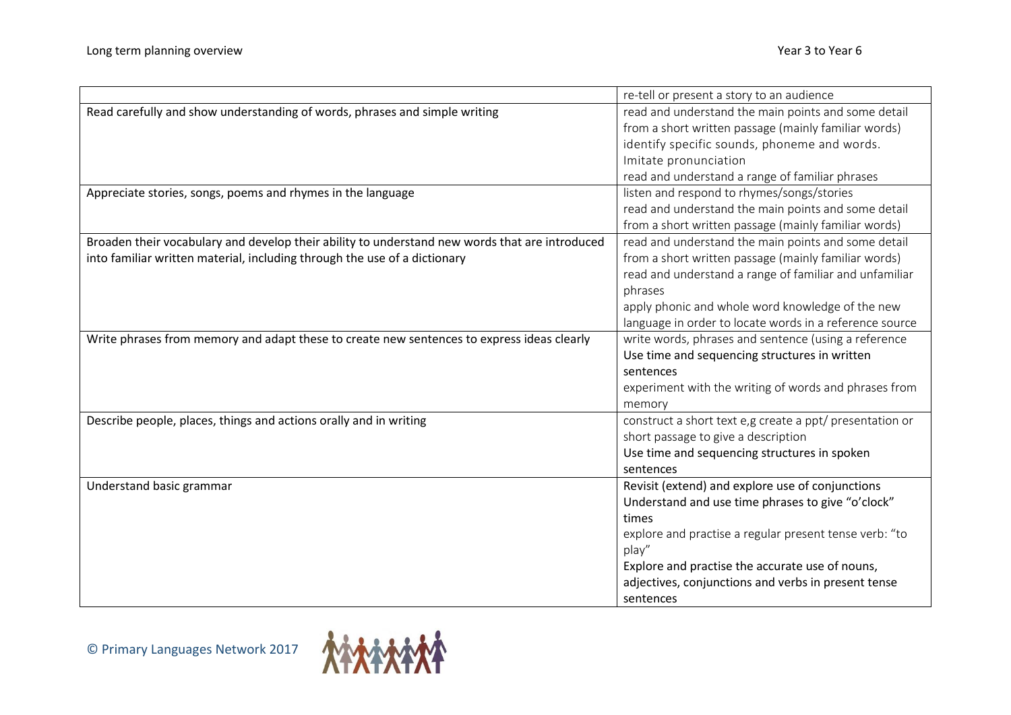|                                                                                                | re-tell or present a story to an audience                |  |
|------------------------------------------------------------------------------------------------|----------------------------------------------------------|--|
| Read carefully and show understanding of words, phrases and simple writing                     | read and understand the main points and some detail      |  |
|                                                                                                | from a short written passage (mainly familiar words)     |  |
|                                                                                                | identify specific sounds, phoneme and words.             |  |
|                                                                                                | Imitate pronunciation                                    |  |
|                                                                                                | read and understand a range of familiar phrases          |  |
| Appreciate stories, songs, poems and rhymes in the language                                    | listen and respond to rhymes/songs/stories               |  |
|                                                                                                | read and understand the main points and some detail      |  |
|                                                                                                | from a short written passage (mainly familiar words)     |  |
| Broaden their vocabulary and develop their ability to understand new words that are introduced | read and understand the main points and some detail      |  |
| into familiar written material, including through the use of a dictionary                      | from a short written passage (mainly familiar words)     |  |
|                                                                                                | read and understand a range of familiar and unfamiliar   |  |
|                                                                                                | phrases                                                  |  |
|                                                                                                | apply phonic and whole word knowledge of the new         |  |
|                                                                                                | language in order to locate words in a reference source  |  |
| Write phrases from memory and adapt these to create new sentences to express ideas clearly     | write words, phrases and sentence (using a reference     |  |
|                                                                                                | Use time and sequencing structures in written            |  |
|                                                                                                | sentences                                                |  |
|                                                                                                | experiment with the writing of words and phrases from    |  |
|                                                                                                | memory                                                   |  |
| Describe people, places, things and actions orally and in writing                              | construct a short text e,g create a ppt/ presentation or |  |
|                                                                                                | short passage to give a description                      |  |
|                                                                                                | Use time and sequencing structures in spoken             |  |
|                                                                                                | sentences                                                |  |
| Understand basic grammar                                                                       | Revisit (extend) and explore use of conjunctions         |  |
|                                                                                                | Understand and use time phrases to give "o'clock"        |  |
|                                                                                                | times                                                    |  |
|                                                                                                | explore and practise a regular present tense verb: "to   |  |
|                                                                                                | play"                                                    |  |
|                                                                                                | Explore and practise the accurate use of nouns,          |  |
|                                                                                                | adjectives, conjunctions and verbs in present tense      |  |
|                                                                                                | sentences                                                |  |